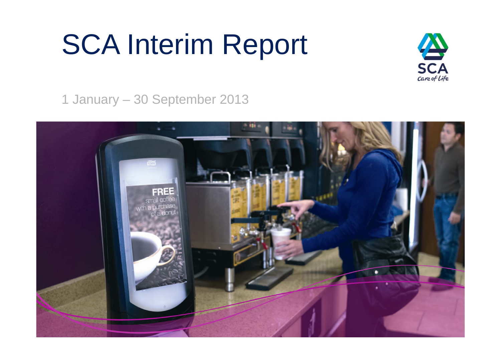# SCA Interim Report



1 January – 30 September 2013

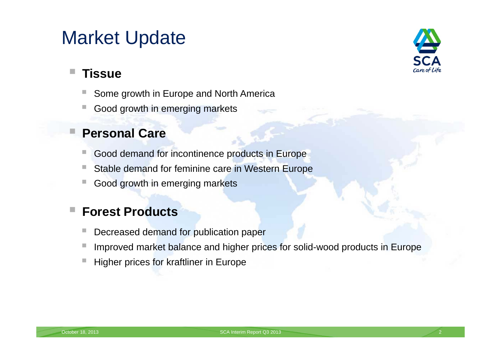## Market Update



#### **Tissue**

П

- Some growth in Europe and North America
- $\mathcal{L}_{\mathcal{A}}$ Good growth in emerging markets

#### **Personal Care**

- Good demand for incontinence products in Europe
- Stable demand for feminine care in Western Europe
- $\mathcal{L}_{\mathcal{A}}$ Good growth in emerging markets

#### F **Forest Products**

- $\mathcal{L}_{\mathcal{A}}$ Decreased demand for publication paper
- $\mathbb{R}^n$ Improved market balance and higher prices for solid-wood products in Europe
- Higher prices for kraftliner in Europe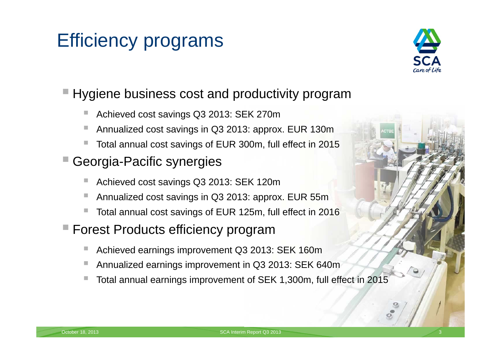## Efficiency programs



### ■ Hygiene business cost and productivity program

- Achieved cost savings Q3 2013: SEK 270m
- Annualized cost savings in Q3 2013: approx. EUR 130m
- $\mathbb{R}^3$ Total annual cost savings of EUR 300m, full effect in 2015
- П Georgia-Pacific synergies
	- Achieved cost savings Q3 2013: SEK 120m
	- $\mathbb{R}^n$ Annualized cost savings in Q3 2013: approx. EUR 55m
	- $\mathbb{R}^n$ Total annual cost savings of EUR 125m, full effect in 2016
- Forest Products efficiency program
	- $\mathbb{R}^3$ Achieved earnings improvement Q3 2013: SEK 160m
	- F Annualized earnings improvement in Q3 2013: SEK 640m
	- E. Total annual earnings improvement of SEK 1,300m, full effect in 2015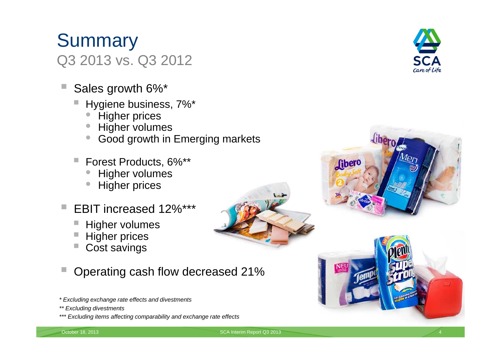### **Summary** Q3 2013 vs. Q3 2012

- Sales growth 6%\*
	- Hygiene business, 7%\*
		- $\bullet$ Higher prices
		- Higher volumes
		- Good growth in Emerging markets
	- $\mathcal{L}^{\mathcal{A}}$  Forest Products, 6%\*\*
		- $\bullet$ Higher volumes
		- $\bullet$ Higher prices
- EBIT increased 12%\*\*\*
	- Higher volumes
	- Higher prices
	- Cost savings

Operating cash flow decreased 21%

- *\* Excluding exchange rate effects and divestments*
- *\*\* Excluding divestments*
- *\*\*\* Excluding items affecting comparability and exchange rate effects*







October 18, 2013 **SCA Interim Report Q3 2013** SCA Interim Report Q3 2013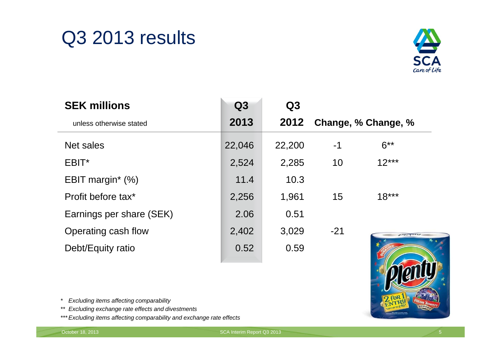## Q3 2013 results



| <b>SEK millions</b>      | Q3     | Q3     |                     |           |
|--------------------------|--------|--------|---------------------|-----------|
| unless otherwise stated  | 2013   | 2012   | Change, % Change, % |           |
| Net sales                | 22,046 | 22,200 | -1                  | $6***$    |
| EBIT*                    | 2,524  | 2,285  | 10                  | $12***$   |
| EBIT margin* $(\%)$      | 11.4   | 10.3   |                     |           |
| Profit before tax*       | 2,256  | 1,961  | 15                  | $18***$   |
| Earnings per share (SEK) | 2.06   | 0.51   |                     |           |
| Operating cash flow      | 2,402  | 3,029  | $-21$               | 178070893 |
| Debt/Equity ratio        | 0.52   | 0.59   |                     |           |



*\* Excluding items affecting comparability*

- *\*\* Excluding exchange rate effects and divestments*
- *\*\*\* Excluding items affecting comparability and exchange rate effects*

october 18, 2013 and the contract of the contract of the contract of the SCA Interim Report Q3 2013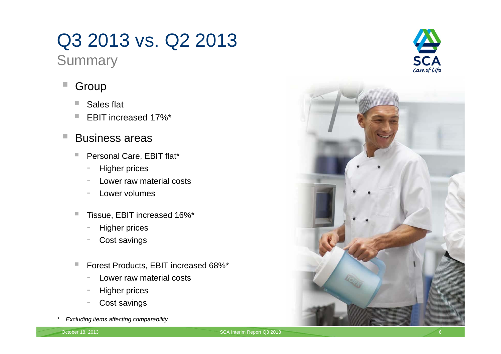## Q3 2013 vs. Q2 2013

**Summary** 

#### $\mathcal{L}$ Group

- m. Sales flat
- $\mathcal{L}_{\mathcal{A}}$ EBIT increased 17%\*

#### п Business areas

- $\mathcal{L}_{\mathcal{A}}$  Personal Care, EBIT flat\*
	- -Higher prices
	- Lower raw material costs
	- Lower volumes
- $\mathcal{L}_{\mathcal{A}}$  Tissue, EBIT increased 16%\*
	- -Higher prices
	- Cost savings
- $\mathcal{L}_{\mathcal{A}}$  Forest Products, EBIT increased 68%\*
	- Lower raw material costs
	- Higher prices
	- -Cost savings
- *\* Excluding items affecting comparability*



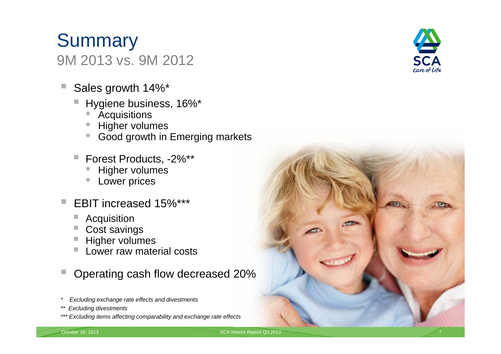### **Summary** 9M 2013 vs. 9M 2012

- F Sales growth 14%\*
	- Hygiene business, 16%\*
		- •**Acquisitions**
		- •Higher volumes
		- Good growth in Emerging markets
	- Forest Products, -2%\*\*
		- •Higher volumes
		- •Lower prices
- EBIT increased 15%\*\*\*
	- $\blacksquare$ Acquisition
	- Cost savings
	- Higher volumes
	- Lower raw material costs

F Operating cash flow decreased 20%

- *\* Excluding exchange rate effects and divestments*
- *\*\* Excluding divestments*
- *\*\*\* Excluding items affecting comparability and exchange rate effects*





October 18, 2013 **SCA Interim Report Q3 2013** SCA Interim Report Q3 2013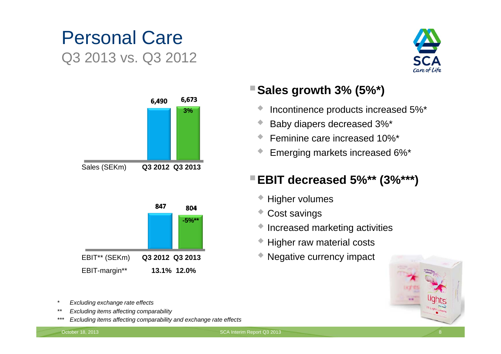## Personal Care Q3 2013 vs. Q3 2012





#### **Sales growth 3% (5%\*)**

- $\blacklozenge$ Incontinence products increased 5%\*
- $\blacklozenge$ Baby diapers decreased 3%\*
- $\blacklozenge$ Feminine care increased 10%\*
- $\blacklozenge$ Emerging markets increased 6%\*

#### **EBIT decreased 5%\*\* (3%\*\*\*)**

- Higher volumes
- Cost savings
- ◆ Increased marketing activities
- Higher raw material costs
- Negative currency impact



- *\* Excluding exchange rate effects*
- *\*\* Excluding items affecting comparability*
- *\*\*\* Excluding items affecting comparability and exchange rate effects*

EBIT-margin\*\* **13.1% 12.0%**

October 18, 2013 **SCA Interim Report Q3 2013** SCA Interim Report Q3 2013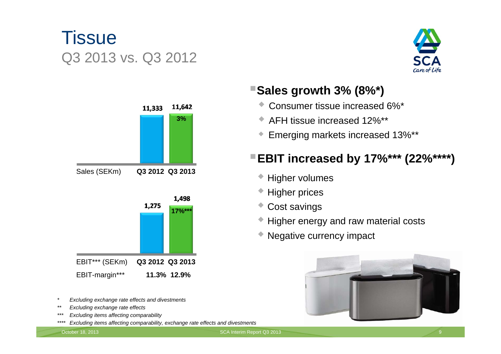## **Tissue** Q3 2013 vs. Q3 2012





- *\* Excluding exchange rate effects and divestments*
- *\*\* Excluding exchange rate effects*
- *\*\*\* Excluding items affecting comparability*
- *\*\*\*\* Excluding items affecting comparability, exchange rate effects and divestments*

#### **Sales growth 3% (8%\*)**

- Consumer tissue increased 6%\*
- AFH tissue increased 12%\*\*
- $\blacklozenge$ Emerging markets increased 13%\*\*

#### **EBIT increased by 17%\*\*\* (22%\*\*\*\*)**

- Higher volumes
- ◆ Higher prices
- Cost savings
- ◆ Higher energy and raw material costs
- Negative currency impact

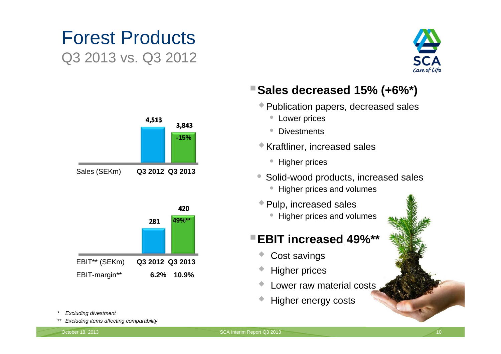## Forest ProductsQ3 2013 vs. Q3 2012





#### **Sales decreased 15% (+6%\*)**

- Publication papers, decreased sales
	- Lower prices
	- Divestments
- Kraftliner, increased sales
	- Higher prices
- $\bullet$  Solid-wood products, increased sales
	- Higher prices and volumes
- Pulp, increased sales
	- Higher prices and volumes

#### **EBIT increased 49%\*\***

- $\blacklozenge$ Cost savings
- $\blacklozenge$ Higher prices
- $\blacklozenge$ Lower raw material costs
- $\blacklozenge$ Higher energy costs

- *\* Excluding divestment*
- *\*\* Excluding items affecting comparability*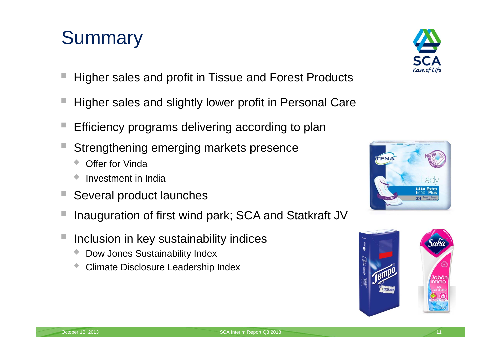## **Summary**

- Higher sales and profit in Tissue and Forest Products
- Higher sales and slightly lower profit in Personal Care
- П Efficiency programs delivering according to plan
- Strengthening emerging markets presence
	- Offer for Vinda
	- $\blacklozenge$ Investment in India
- Several product launches
- П Inauguration of first wind park; SCA and Statkraft JV
- П Inclusion in key sustainability indices
	- $\blacklozenge$ Dow Jones Sustainability Index
	- $\blacklozenge$ Climate Disclosure Leadership Index





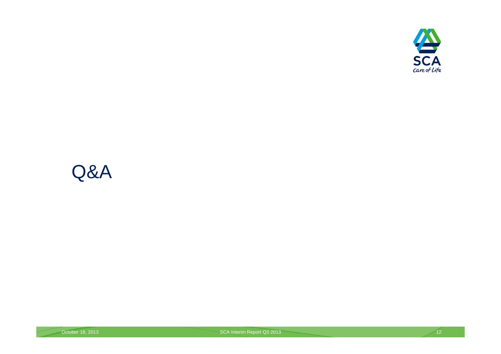

## Q&A